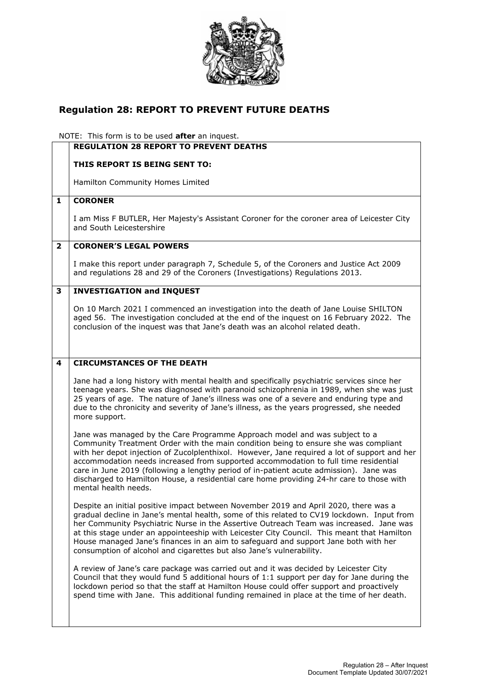

## **Regulation 28: REPORT TO PREVENT FUTURE DEATHS**

## NOTE: This form is to be used **after** an inquest. **REGULATION 28 REPORT TO PREVENT DEATHS THIS REPORT IS BEING SENT TO:**  Hamilton Community Homes Limited **1 CORONER**  I am Miss F BUTLER, Her Majesty's Assistant Coroner for the coroner area of Leicester City and South Leicestershire **2 CORONER'S LEGAL POWERS**  I make this report under paragraph 7, Schedule 5, of the Coroners and Justice Act 2009 and regulations 28 and 29 of the Coroners (Investigations) Regulations 2013. **3 INVESTIGATION and INQUEST**  On 10 March 2021 I commenced an investigation into the death of Jane Louise SHILTON aged 56. The investigation concluded at the end of the inquest on 16 February 2022. The conclusion of the inquest was that Jane's death was an alcohol related death. **4 CIRCUMSTANCES OF THE DEATH**  Jane had a long history with mental health and specifically psychiatric services since her teenage years. She was diagnosed with paranoid schizophrenia in 1989, when she was just 25 years of age. The nature of Jane's illness was one of a severe and enduring type and due to the chronicity and severity of Jane's illness, as the years progressed, she needed more support. Jane was managed by the Care Programme Approach model and was subject to a Community Treatment Order with the main condition being to ensure she was compliant with her depot injection of Zucolplenthixol. However, Jane required a lot of support and her accommodation needs increased from supported accommodation to full time residential care in June 2019 (following a lengthy period of in-patient acute admission). Jane was discharged to Hamilton House, a residential care home providing 24-hr care to those with mental health needs. Despite an initial positive impact between November 2019 and April 2020, there was a gradual decline in Jane's mental health, some of this related to CV19 lockdown. Input from her Community Psychiatric Nurse in the Assertive Outreach Team was increased. Jane was at this stage under an appointeeship with Leicester City Council. This meant that Hamilton House managed Jane's finances in an aim to safeguard and support Jane both with her consumption of alcohol and cigarettes but also Jane's vulnerability. A review of Jane's care package was carried out and it was decided by Leicester City Council that they would fund 5 additional hours of 1:1 support per day for Jane during the lockdown period so that the staff at Hamilton House could offer support and proactively spend time with Jane. This additional funding remained in place at the time of her death.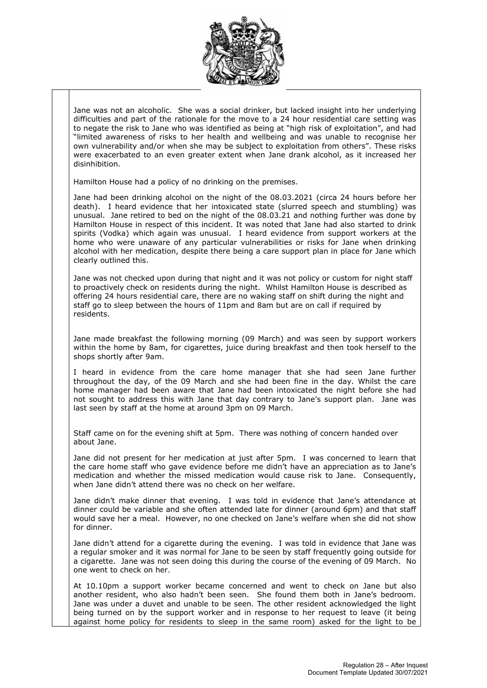

Jane was not an alcoholic. She was a social drinker, but lacked insight into her underlying difficulties and part of the rationale for the move to a 24 hour residential care setting was to negate the risk to Jane who was identified as being at "high risk of exploitation", and had "limited awareness of risks to her health and wellbeing and was unable to recognise her own vulnerability and/or when she may be subject to exploitation from others". These risks were exacerbated to an even greater extent when Jane drank alcohol, as it increased her disinhibition.

Hamilton House had a policy of no drinking on the premises.

Jane had been drinking alcohol on the night of the 08.03.2021 (circa 24 hours before her death). I heard evidence that her intoxicated state (slurred speech and stumbling) was unusual. Jane retired to bed on the night of the [08.03.21](https://08.03.21) and nothing further was done by Hamilton House in respect of this incident. It was noted that Jane had also started to drink spirits (Vodka) which again was unusual. I heard evidence from support workers at the home who were unaware of any particular vulnerabilities or risks for Jane when drinking alcohol with her medication, despite there being a care support plan in place for Jane which clearly outlined this.

Jane was not checked upon during that night and it was not policy or custom for night staff to proactively check on residents during the night. Whilst Hamilton House is described as offering 24 hours residential care, there are no waking staff on shift during the night and staff go to sleep between the hours of 11pm and 8am but are on call if required by residents.

Jane made breakfast the following morning (09 March) and was seen by support workers within the home by 8am, for cigarettes, juice during breakfast and then took herself to the shops shortly after 9am.

I heard in evidence from the care home manager that she had seen Jane further throughout the day, of the 09 March and she had been fine in the day. Whilst the care home manager had been aware that Jane had been intoxicated the night before she had not sought to address this with Jane that day contrary to Jane's support plan. Jane was last seen by staff at the home at around 3pm on 09 March.

Staff came on for the evening shift at 5pm. There was nothing of concern handed over about Jane.

Jane did not present for her medication at just after 5pm. I was concerned to learn that the care home staff who gave evidence before me didn't have an appreciation as to Jane's medication and whether the missed medication would cause risk to Jane. Consequently, when Jane didn't attend there was no check on her welfare.

Jane didn't make dinner that evening. I was told in evidence that Jane's attendance at dinner could be variable and she often attended late for dinner (around 6pm) and that staff would save her a meal. However, no one checked on Jane's welfare when she did not show for dinner.

Jane didn't attend for a cigarette during the evening. I was told in evidence that Jane was a regular smoker and it was normal for Jane to be seen by staff frequently going outside for a cigarette. Jane was not seen doing this during the course of the evening of 09 March. No one went to check on her.

At 10.10pm a support worker became concerned and went to check on Jane but also another resident, who also hadn't been seen. She found them both in Jane's bedroom. Jane was under a duvet and unable to be seen. The other resident acknowledged the light being turned on by the support worker and in response to her request to leave (it being against home policy for residents to sleep in the same room) asked for the light to be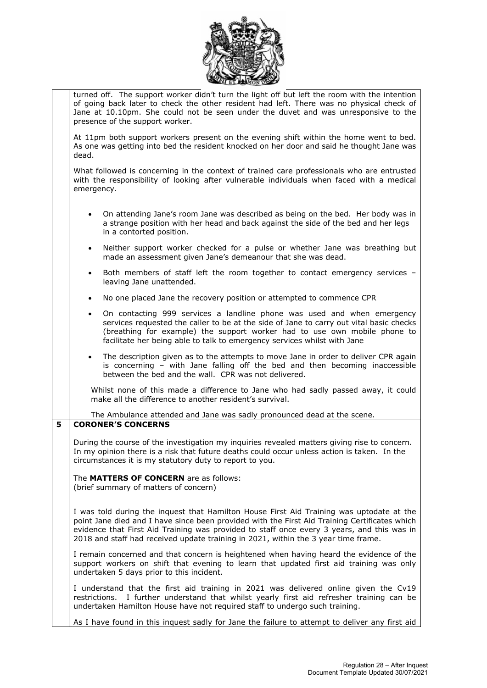

turned off. The support worker didn't turn the light off but left the room with the intention of going back later to check the other resident had left. There was no physical check of Jane at 10.10pm. She could not be seen under the duvet and was unresponsive to the presence of the support worker.

At 11pm both support workers present on the evening shift within the home went to bed. As one was getting into bed the resident knocked on her door and said he thought Jane was dead.

What followed is concerning in the context of trained care professionals who are entrusted with the responsibility of looking after vulnerable individuals when faced with a medical emergency.

- On attending Jane's room Jane was described as being on the bed. Her body was in a strange position with her head and back against the side of the bed and her legs in a contorted position.
- Neither support worker checked for a pulse or whether Jane was breathing but made an assessment given Jane's demeanour that she was dead.
- Both members of staff left the room together to contact emergency services leaving Jane unattended.
- No one placed Jane the recovery position or attempted to commence CPR
- On contacting 999 services a landline phone was used and when emergency services requested the caller to be at the side of Jane to carry out vital basic checks (breathing for example) the support worker had to use own mobile phone to facilitate her being able to talk to emergency services whilst with Jane
- The description given as to the attempts to move Jane in order to deliver CPR again is concerning – with Jane falling off the bed and then becoming inaccessible between the bed and the wall. CPR was not delivered.

Whilst none of this made a difference to Jane who had sadly passed away, it could make all the difference to another resident's survival.

The Ambulance attended and Jane was sadly pronounced dead at the scene.

## **5 CORONER'S CONCERNS**

During the course of the investigation my inquiries revealed matters giving rise to concern. In my opinion there is a risk that future deaths could occur unless action is taken. In the circumstances it is my statutory duty to report to you.

## The **MATTERS OF CONCERN** are as follows:

(brief summary of matters of concern)

I was told during the inquest that Hamilton House First Aid Training was uptodate at the point Jane died and I have since been provided with the First Aid Training Certificates which evidence that First Aid Training was provided to staff once every 3 years, and this was in 2018 and staff had received update training in 2021, within the 3 year time frame.

I remain concerned and that concern is heightened when having heard the evidence of the support workers on shift that evening to learn that updated first aid training was only undertaken 5 days prior to this incident.

I understand that the first aid training in 2021 was delivered online given the Cv19 restrictions. I further understand that whilst yearly first aid refresher training can be undertaken Hamilton House have not required staff to undergo such training.

As I have found in this inquest sadly for Jane the failure to attempt to deliver any first aid